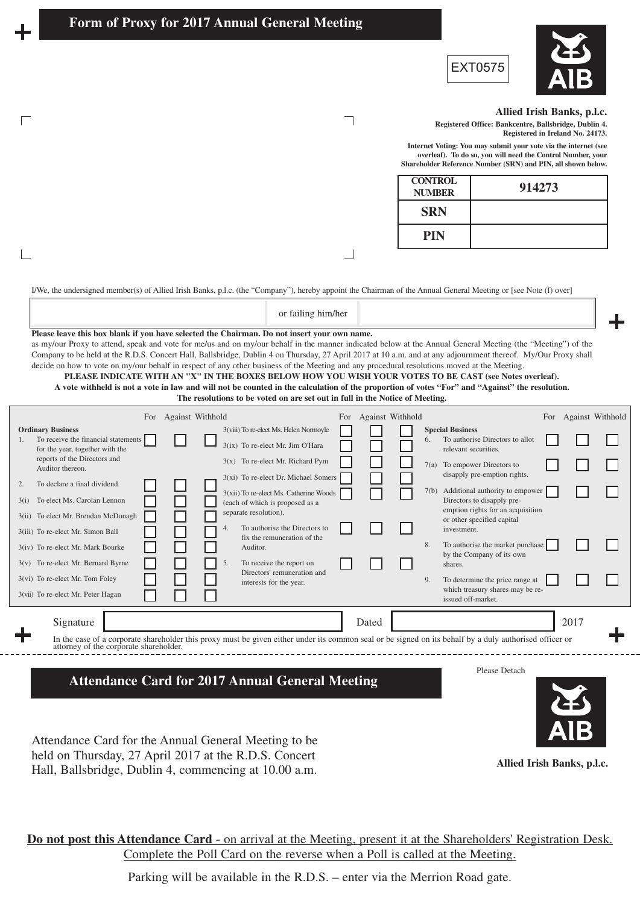$\mathbf{L}$ 





## **Allied Irish Banks, p.l.c.**

**Registered Office: Bankcentre, Ballsbridge, Dublin 4. Registered in Ireland No. 24173.**

**Internet Voting: You may submit your vote via the internet (see overleaf). To do so, you will need the Control Number, your Shareholder Reference Number (SRN) and PIN, all shown below.** 

| <b>CONTROL</b><br><b>NUMBER</b> | 914273 |
|---------------------------------|--------|
| <b>SRN</b>                      |        |
| <b>PIN</b>                      |        |

I/We, the undersigned member(s) of Allied Irish Banks, p.l.c. (the "Company"), hereby appoint the Chairman of the Annual General Meeting or [see Note (f) over]

## **Please leave this box blank if you have selected the Chairman. Do not insert your own name.** as my/our Proxy to attend, speak and vote for me/us and on my/our behalf in the manner indicated below at the Annual General Meeting (the "Meeting") of the Company to be held at the R.D.S. Concert Hall, Ballsbridge, Dublin 4 on Thursday, 27 April 2017 at 10 a.m. and at any adjournment thereof. My/Our Proxy shall decide on how to vote on my/our behalf in respect of any other business of the Meeting and any procedural resolutions moved at the Meeting. **PLEASE INDICATE WITH AN "X" IN THE BOXES BELOW HOW YOU WISH YOUR VOTES TO BE CAST (see Notes overleaf). A vote withheld is not a vote in law and will not be counted in the calculation of the proportion of votes "For" and "Against" the resolution.**  or failing him/her

٦

 $\Box$ 

| The resolutions to be voted on are set out in full in the Notice of Meeting.                                                                                                                           |                                                                                                                                     |       |                               |                                                                                                                                  |                         |  |  |  |  |  |
|--------------------------------------------------------------------------------------------------------------------------------------------------------------------------------------------------------|-------------------------------------------------------------------------------------------------------------------------------------|-------|-------------------------------|----------------------------------------------------------------------------------------------------------------------------------|-------------------------|--|--|--|--|--|
|                                                                                                                                                                                                        | For Against Withhold                                                                                                                | For   | Against Withhold              | For                                                                                                                              | <b>Against Withhold</b> |  |  |  |  |  |
| <b>Ordinary Business</b><br>To receive the financial statements<br>for the year, together with the                                                                                                     | 3(viii) To re-elect Ms. Helen Normoyle<br>3(ix) To re-elect Mr. Jim O'Hara                                                          |       | <b>Special Business</b><br>6. | To authorise Directors to allot<br>relevant securities.                                                                          |                         |  |  |  |  |  |
| reports of the Directors and<br>Auditor thereon.                                                                                                                                                       | $3(x)$ To re-elect Mr. Richard Pym<br>3(xi) To re-elect Dr. Michael Somers                                                          |       | 7(a)                          | To empower Directors to<br>disapply pre-emption rights.                                                                          |                         |  |  |  |  |  |
| To declare a final dividend.<br>2.<br>To elect Ms. Carolan Lennon<br>3(i)<br>To elect Mr. Brendan McDonagh<br>3(ii)<br>3(iii) To re-elect Mr. Simon Ball                                               | 3(xii) To re-elect Ms. Catherine Woods<br>(each of which is proposed as a<br>separate resolution).<br>To authorise the Directors to |       | 7(b)<br>investment.           | Additional authority to empower<br>Directors to disapply pre-<br>emption rights for an acquisition<br>or other specified capital |                         |  |  |  |  |  |
| 3(iv) To re-elect Mr. Mark Bourke<br>$3(v)$ To re-elect Mr. Bernard Byrne                                                                                                                              | fix the remuneration of the<br>Auditor.<br>To receive the report on                                                                 |       | 8.<br>shares.                 | To authorise the market purchase<br>by the Company of its own                                                                    |                         |  |  |  |  |  |
| 3(vi) To re-elect Mr. Tom Foley<br>3(vii) To re-elect Mr. Peter Hagan                                                                                                                                  | Directors' remuneration and<br>interests for the year.                                                                              |       | 9.                            | To determine the price range at<br>which treasury shares may be re-<br>issued off-market.                                        |                         |  |  |  |  |  |
| Signature                                                                                                                                                                                              |                                                                                                                                     | Dated |                               |                                                                                                                                  | 2017                    |  |  |  |  |  |
| ╉<br>In the case of a corporate shareholder this proxy must be given either under its common seal or be signed on its behalf by a duly authorised officer or<br>attorney of the corporate shareholder. |                                                                                                                                     |       |                               |                                                                                                                                  |                         |  |  |  |  |  |
| Please Detach<br><b>Attendance Card for 2017 Annual General Meeting</b>                                                                                                                                |                                                                                                                                     |       |                               |                                                                                                                                  |                         |  |  |  |  |  |

Attendance Card for the Annual General Meeting to be held on Thursday, 27 April 2017 at the R.D.S. Concert Hall, Ballsbridge, Dublin 4, commencing at 10.00 a.m.

**Allied Irish Banks, p.l.c.**

**Do not post this Attendance Card** - on arrival at the Meeting, present it at the Shareholders' Registration Desk. Complete the Poll Card on the reverse when a Poll is called at the Meeting.

Parking will be available in the R.D.S. – enter via the Merrion Road gate.